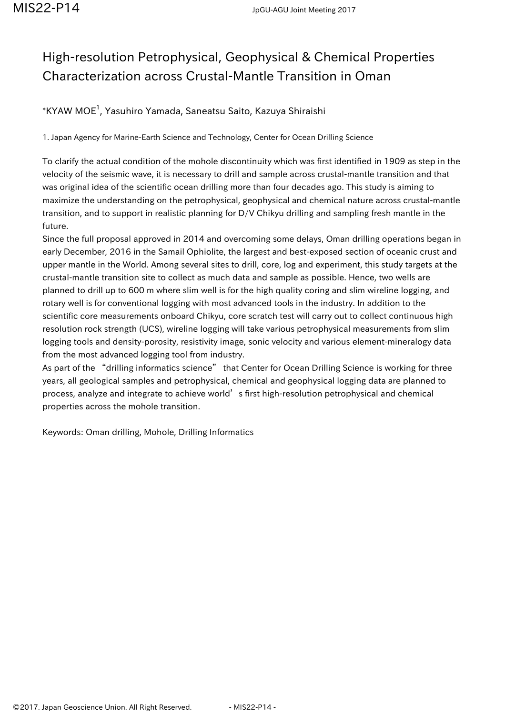## High-resolution Petrophysical, Geophysical & Chemical Properties Characterization across Crustal-Mantle Transition in Oman

## $^{\ast}$ KYAW MOE $^{1}$ , Yasuhiro Yamada, Saneatsu Saito, Kazuya Shiraishi

1. Japan Agency for Marine-Earth Science and Technology, Center for Ocean Drilling Science

To clarify the actual condition of the mohole discontinuity which was first identified in 1909 as step in the velocity of the seismic wave, it is necessary to drill and sample across crustal-mantle transition and that was original idea of the scientific ocean drilling more than four decades ago. This study is aiming to maximize the understanding on the petrophysical, geophysical and chemical nature across crustal-mantle transition, and to support in realistic planning for D/V Chikyu drilling and sampling fresh mantle in the future.

Since the full proposal approved in 2014 and overcoming some delays, Oman drilling operations began in early December, 2016 in the Samail Ophiolite, the largest and best-exposed section of oceanic crust and upper mantle in the World. Among several sites to drill, core, log and experiment, this study targets at the crustal-mantle transition site to collect as much data and sample as possible. Hence, two wells are planned to drill up to 600 m where slim well is for the high quality coring and slim wireline logging, and rotary well is for conventional logging with most advanced tools in the industry. In addition to the scientific core measurements onboard Chikyu, core scratch test will carry out to collect continuous high resolution rock strength (UCS), wireline logging will take various petrophysical measurements from slim logging tools and density-porosity, resistivity image, sonic velocity and various element-mineralogy data from the most advanced logging tool from industry.

As part of the "drilling informatics science" that Center for Ocean Drilling Science is working for three years, all geological samples and petrophysical, chemical and geophysical logging data are planned to process, analyze and integrate to achieve world's first high-resolution petrophysical and chemical properties across the mohole transition.

Keywords: Oman drilling, Mohole, Drilling Informatics